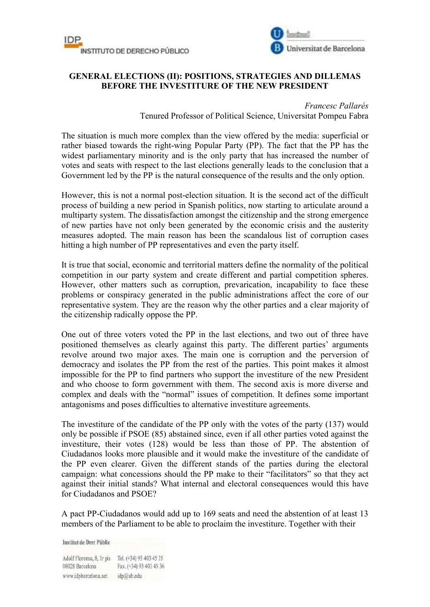



## **GENERAL ELECTIONS (II): POSITIONS, STRATEGIES AND DILLEMAS BEFORE THE INVESTITURE OF THE NEW PRESIDENT**

## *Francesc Pallarés*

Tenured Professor of Political Science, Universitat Pompeu Fabra

The situation is much more complex than the view offered by the media: superficial or rather biased towards the right-wing Popular Party (PP). The fact that the PP has the widest parliamentary minority and is the only party that has increased the number of votes and seats with respect to the last elections generally leads to the conclusion that a Government led by the PP is the natural consequence of the results and the only option.

However, this is not a normal post-election situation. It is the second act of the difficult process of building a new period in Spanish politics, now starting to articulate around a multiparty system. The dissatisfaction amongst the citizenship and the strong emergence of new parties have not only been generated by the economic crisis and the austerity measures adopted. The main reason has been the scandalous list of corruption cases hitting a high number of PP representatives and even the party itself.

It is true that social, economic and territorial matters define the normality of the political competition in our party system and create different and partial competition spheres. However, other matters such as corruption, prevarication, incapability to face these problems or conspiracy generated in the public administrations affect the core of our representative system. They are the reason why the other parties and a clear majority of the citizenship radically oppose the PP.

One out of three voters voted the PP in the last elections, and two out of three have positioned themselves as clearly against this party. The different parties' arguments revolve around two major axes. The main one is corruption and the perversion of democracy and isolates the PP from the rest of the parties. This point makes it almost impossible for the PP to find partners who support the investiture of the new President and who choose to form government with them. The second axis is more diverse and complex and deals with the "normal" issues of competition. It defines some important antagonisms and poses difficulties to alternative investiture agreements.

The investiture of the candidate of the PP only with the votes of the party (137) would only be possible if PSOE (85) abstained since, even if all other parties voted against the investiture, their votes (128) would be less than those of PP. The abstention of Ciudadanos looks more plausible and it would make the investiture of the candidate of the PP even clearer. Given the different stands of the parties during the electoral campaign: what concessions should the PP make to their "facilitators" so that they act against their initial stands? What internal and electoral consequences would this have for Ciudadanos and PSOE?

A pact PP-Ciudadanos would add up to 169 seats and need the abstention of at least 13 members of the Parliament to be able to proclaim the investiture. Together with their

**Institut de Dret Públic** 

Adolf Florensa, 8, Ir pis Tel. (+34) 93 403 45 35 Fax. (+34) 93 403 45 36 08028 Barcelona www.idpbarcelona.net idp@ub.edu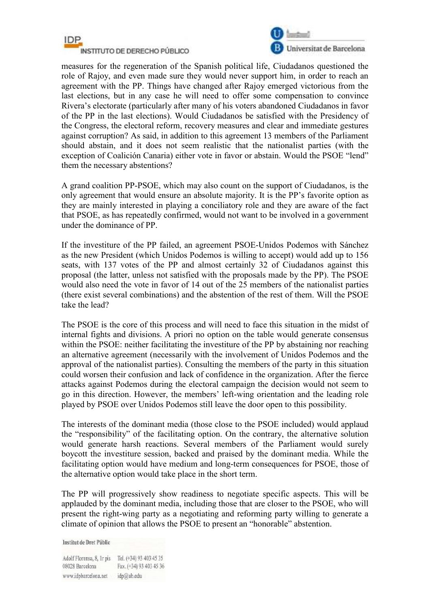



measures for the regeneration of the Spanish political life, Ciudadanos questioned the role of Rajoy, and even made sure they would never support him, in order to reach an agreement with the PP. Things have changed after Rajoy emerged victorious from the last elections, but in any case he will need to offer some compensation to convince Rivera's electorate (particularly after many of his voters abandoned Ciudadanos in favor of the PP in the last elections). Would Ciudadanos be satisfied with the Presidency of the Congress, the electoral reform, recovery measures and clear and immediate gestures against corruption? As said, in addition to this agreement 13 members of the Parliament should abstain, and it does not seem realistic that the nationalist parties (with the exception of Coalición Canaria) either vote in favor or abstain. Would the PSOE "lend" them the necessary abstentions?

A grand coalition PP-PSOE, which may also count on the support of Ciudadanos, is the only agreement that would ensure an absolute majority. It is the PP's favorite option as they are mainly interested in playing a conciliatory role and they are aware of the fact that PSOE, as has repeatedly confirmed, would not want to be involved in a government under the dominance of PP.

If the investiture of the PP failed, an agreement PSOE-Unidos Podemos with Sánchez as the new President (which Unidos Podemos is willing to accept) would add up to 156 seats, with 137 votes of the PP and almost certainly 32 of Ciudadanos against this proposal (the latter, unless not satisfied with the proposals made by the PP). The PSOE would also need the vote in favor of 14 out of the 25 members of the nationalist parties (there exist several combinations) and the abstention of the rest of them. Will the PSOE take the lead?

The PSOE is the core of this process and will need to face this situation in the midst of internal fights and divisions. A priori no option on the table would generate consensus within the PSOE: neither facilitating the investiture of the PP by abstaining nor reaching an alternative agreement (necessarily with the involvement of Unidos Podemos and the approval of the nationalist parties). Consulting the members of the party in this situation could worsen their confusion and lack of confidence in the organization. After the fierce attacks against Podemos during the electoral campaign the decision would not seem to go in this direction. However, the members' left-wing orientation and the leading role played by PSOE over Unidos Podemos still leave the door open to this possibility.

The interests of the dominant media (those close to the PSOE included) would applaud the "responsibility" of the facilitating option. On the contrary, the alternative solution would generate harsh reactions. Several members of the Parliament would surely boycott the investiture session, backed and praised by the dominant media. While the facilitating option would have medium and long-term consequences for PSOE, those of the alternative option would take place in the short term.

The PP will progressively show readiness to negotiate specific aspects. This will be applauded by the dominant media, including those that are closer to the PSOE, who will present the right-wing party as a negotiating and reforming party willing to generate a climate of opinion that allows the PSOE to present an "honorable" abstention.

**Institut de Dret Públic** 

Adolf Florensa, 8, Ir pis Tel. (+34) 93 403 45 35 Fax. (+34) 93 403 45 36 08028 Barcelona www.idpbarcelona.net idp@ub.edu